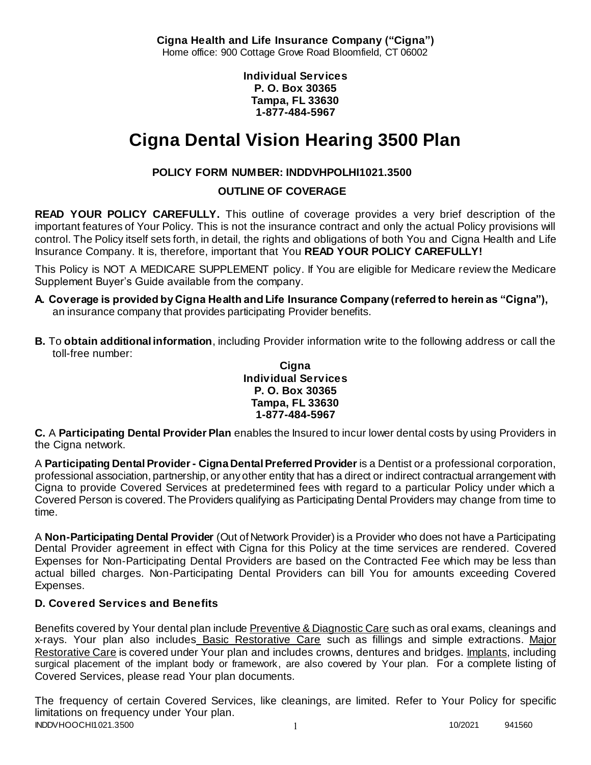**Cigna Health and Life Insurance Company ("Cigna")** Home office: 900 Cottage Grove Road Bloomfield, CT 06002

> **Individual Services P. O. Box 30365 Tampa, FL 33630 1-877-484-5967**

# **Cigna Dental Vision Hearing 3500 Plan**

# **POLICY FORM NUMBER: INDDVHPOLHI1021.3500**

**OUTLINE OF COVERAGE** 

**READ YOUR POLICY CAREFULLY.** This outline of coverage provides a very brief description of the important features of Your Policy. This is not the insurance contract and only the actual Policy provisions will control. The Policy itself sets forth, in detail, the rights and obligations of both You and Cigna Health and Life Insurance Company. It is, therefore, important that You **READ YOUR POLICY CAREFULLY!** 

This Policy is NOT A MEDICARE SUPPLEMENT policy. If You are eligible for Medicare review the Medicare Supplement Buyer's Guide available from the company.

- **A. Coverage is provided by Cigna Health and Life Insurance Company (referred to herein as "Cigna"),**  an insurance company that provides participating Provider benefits.
- **B.** To **obtain additional information**, including Provider information write to the following address or call the toll-free number:

**Cigna Individual Services P. O. Box 30365 Tampa, FL 33630 1-877-484-5967**

**C.** A **Participating Dental Provider Plan** enables the Insured to incur lower dental costs by using Providers in the Cigna network.

A **Participating Dental Provider - Cigna Dental Preferred Provider** is a Dentist or a professional corporation, professional association, partnership, or any other entity that has a direct or indirect contractual arrangement with Cigna to provide Covered Services at predetermined fees with regard to a particular Policy under which a Covered Person is covered. The Providers qualifying as Participating Dental Providers may change from time to time.

A **Non-Participating Dental Provider** (Out of Network Provider) is a Provider who does not have a Participating Dental Provider agreement in effect with Cigna for this Policy at the time services are rendered. Covered Expenses for Non-Participating Dental Providers are based on the Contracted Fee which may be less than actual billed charges. Non-Participating Dental Providers can bill You for amounts exceeding Covered Expenses.

# **D. Covered Services and Benefits**

Benefits covered by Your dental plan include Preventive & Diagnostic Care such as oral exams, cleanings and x-rays. Your plan also includes Basic Restorative Care such as fillings and simple extractions. Major Restorative Care is covered under Your plan and includes crowns, dentures and bridges. Implants, including surgical placement of the implant body or framework, are also covered by Your plan. For a complete listing of Covered Services, please read Your plan documents.

INDDVHOOCHI1021.3500 1 10/2021 941560 The frequency of certain Covered Services, like cleanings, are limited. Refer to Your Policy for specific limitations on frequency under Your plan.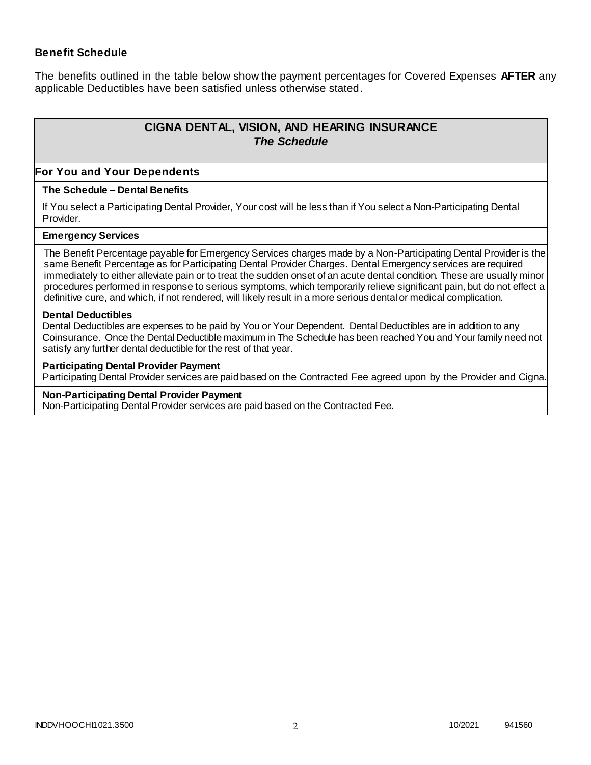### **Benefit Schedule**

The benefits outlined in the table below show the payment percentages for Covered Expenses **AFTER** any applicable Deductibles have been satisfied unless otherwise stated.

# **CIGNA DENTAL, VISION, AND HEARING INSURANCE** *The Schedule*

#### **For You and Your Dependents**

#### **The Schedule – Dental Benefits**

If You select a Participating Dental Provider, Your cost will be less than if You select a Non-Participating Dental Provider.

#### **Emergency Services**

The Benefit Percentage payable for Emergency Services charges made by a Non-Participating Dental Provider is the same Benefit Percentage as for Participating Dental Provider Charges. Dental Emergency services are required immediately to either alleviate pain or to treat the sudden onset of an acute dental condition. These are usually minor procedures performed in response to serious symptoms, which temporarily relieve significant pain, but do not effect a definitive cure, and which, if not rendered, will likely result in a more serious dental or medical complication.

#### **Dental Deductibles**

Dental Deductibles are expenses to be paid by You or Your Dependent. Dental Deductibles are in addition to any Coinsurance. Once the Dental Deductible maximum in The Schedule has been reached You and Your family need not satisfy any further dental deductible for the rest of that year.

#### **Participating Dental Provider Payment**

Participating Dental Provider services are paid based on the Contracted Fee agreed upon by the Provider and Cigna.

#### **Non-Participating Dental Provider Payment**

Non-Participating Dental Provider services are paid based on the Contracted Fee.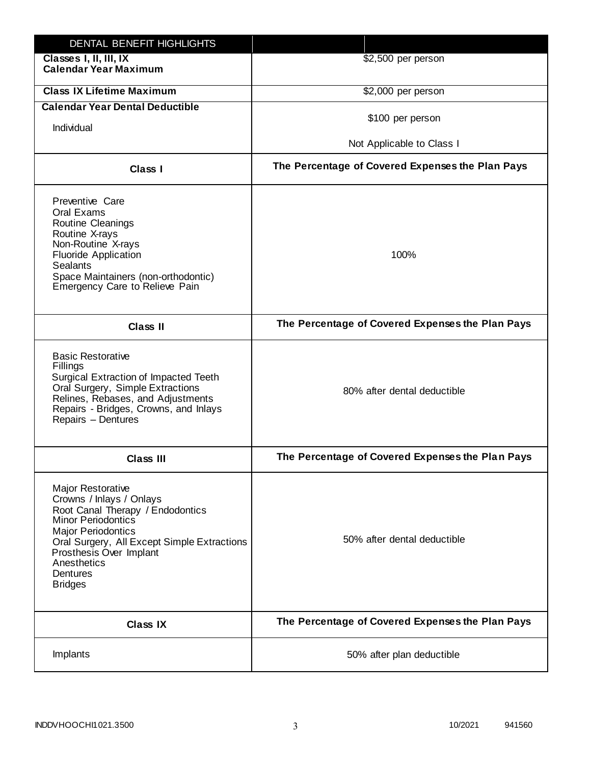| DENTAL BENEFIT HIGHLIGHTS                                                                                                                                                                                                                                                 |                                                  |
|---------------------------------------------------------------------------------------------------------------------------------------------------------------------------------------------------------------------------------------------------------------------------|--------------------------------------------------|
| Classes I, II, III, IX<br><b>Calendar Year Maximum</b>                                                                                                                                                                                                                    | \$2,500 per person                               |
| <b>Class IX Lifetime Maximum</b>                                                                                                                                                                                                                                          | \$2,000 per person                               |
| <b>Calendar Year Dental Deductible</b>                                                                                                                                                                                                                                    |                                                  |
| Individual                                                                                                                                                                                                                                                                | \$100 per person                                 |
|                                                                                                                                                                                                                                                                           | Not Applicable to Class I                        |
| Class I                                                                                                                                                                                                                                                                   | The Percentage of Covered Expenses the Plan Pays |
| Preventive Care<br>Oral Exams<br>Routine Cleanings<br>Routine X-rays<br>Non-Routine X-rays<br><b>Fluoride Application</b><br><b>Sealants</b><br>Space Maintainers (non-orthodontic)<br>Emergency Care to Relieve Pain                                                     | 100%                                             |
| <b>Class II</b>                                                                                                                                                                                                                                                           | The Percentage of Covered Expenses the Plan Pays |
| <b>Basic Restorative</b><br>Fillings<br>Surgical Extraction of Impacted Teeth<br>Oral Surgery, Simple Extractions<br>Relines, Rebases, and Adjustments<br>Repairs - Bridges, Crowns, and Inlays<br>Repairs - Dentures                                                     | 80% after dental deductible                      |
| <b>Class III</b>                                                                                                                                                                                                                                                          | The Percentage of Covered Expenses the Plan Pays |
| <b>Major Restorative</b><br>Crowns / Inlays / Onlays<br>Root Canal Therapy / Endodontics<br><b>Minor Periodontics</b><br><b>Major Periodontics</b><br>Oral Surgery, All Except Simple Extractions<br>Prosthesis Over Implant<br>Anesthetics<br>Dentures<br><b>Bridges</b> | 50% after dental deductible                      |
| <b>Class IX</b>                                                                                                                                                                                                                                                           | The Percentage of Covered Expenses the Plan Pays |
| Implants                                                                                                                                                                                                                                                                  | 50% after plan deductible                        |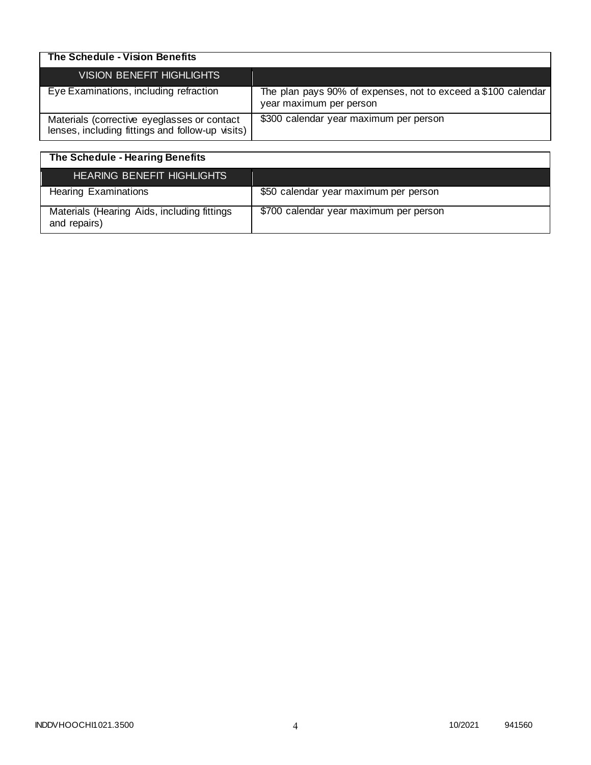| The Schedule - Vision Benefits                                                                  |                                                                                          |
|-------------------------------------------------------------------------------------------------|------------------------------------------------------------------------------------------|
| <b>VISION BENEFIT HIGHLIGHTS</b>                                                                |                                                                                          |
| Eye Examinations, including refraction                                                          | The plan pays 90% of expenses, not to exceed a \$100 calendar<br>year maximum per person |
| Materials (corrective eyeglasses or contact<br>lenses, including fittings and follow-up visits) | \$300 calendar year maximum per person                                                   |

| The Schedule - Hearing Benefits                             |                                        |
|-------------------------------------------------------------|----------------------------------------|
| <b>HEARING BENEFIT HIGHLIGHTS</b>                           |                                        |
| <b>Hearing Examinations</b>                                 | \$50 calendar year maximum per person  |
| Materials (Hearing Aids, including fittings<br>and repairs) | \$700 calendar year maximum per person |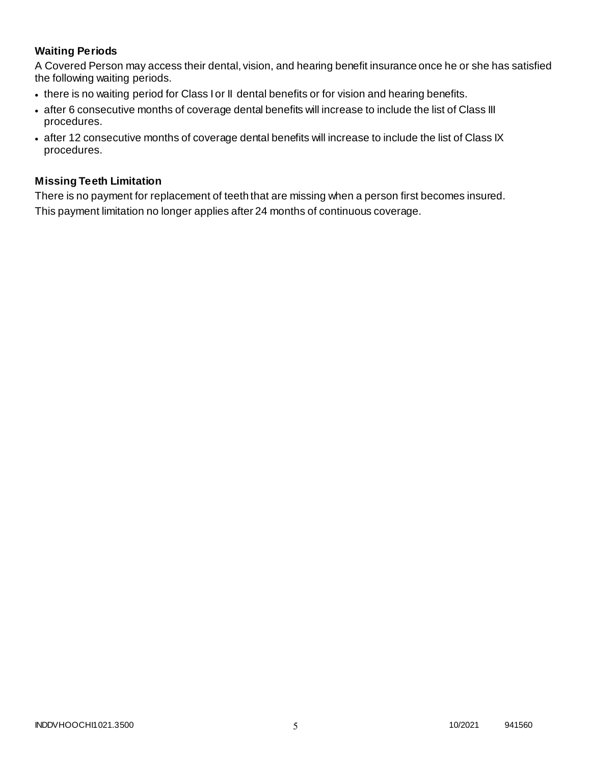# **Waiting Periods**

A Covered Person may access their dental, vision, and hearing benefit insurance once he or she has satisfied the following waiting periods.

- there is no waiting period for Class I or II dental benefits or for vision and hearing benefits.
- after 6 consecutive months of coverage dental benefits will increase to include the list of Class III procedures.
- after 12 consecutive months of coverage dental benefits will increase to include the list of Class IX procedures.

### **Missing Teeth Limitation**

There is no payment for replacement of teeth that are missing when a person first becomes insured. This payment limitation no longer applies after 24 months of continuous coverage.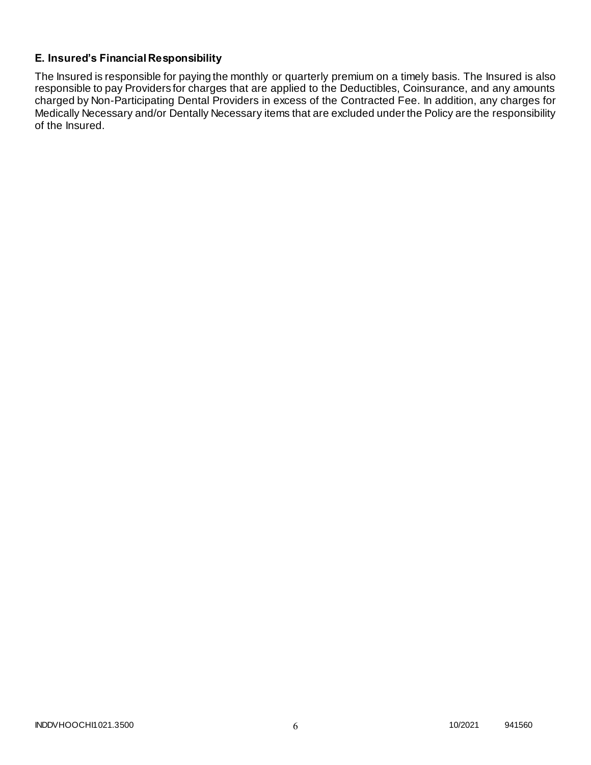# **E. Insured's Financial Responsibility**

The Insured is responsible for paying the monthly or quarterly premium on a timely basis. The Insured is also responsible to pay Providers for charges that are applied to the Deductibles, Coinsurance, and any amounts charged by Non-Participating Dental Providers in excess of the Contracted Fee. In addition, any charges for Medically Necessary and/or Dentally Necessary items that are excluded under the Policy are the responsibility of the Insured.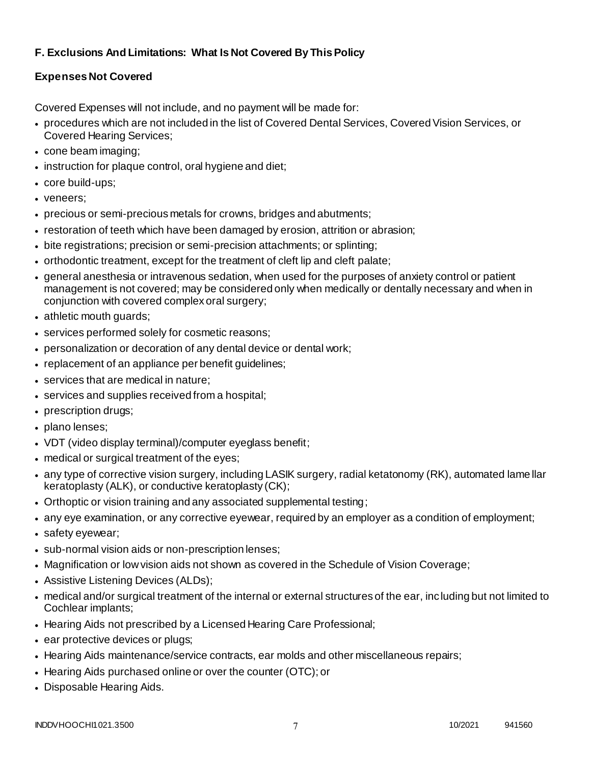# **F. Exclusions And Limitations: What Is Not Covered By This Policy**

# **Expenses Not Covered**

Covered Expenses will not include, and no payment will be made for:

- procedures which are not included in the list of Covered Dental Services, Covered Vision Services, or Covered Hearing Services;
- cone beam imaging;
- instruction for plaque control, oral hygiene and diet;
- core build-ups;
- veneers;
- precious or semi-precious metals for crowns, bridges and abutments;
- restoration of teeth which have been damaged by erosion, attrition or abrasion;
- bite registrations; precision or semi-precision attachments; or splinting;
- orthodontic treatment, except for the treatment of cleft lip and cleft palate;
- general anesthesia or intravenous sedation, when used for the purposes of anxiety control or patient management is not covered; may be considered only when medically or dentally necessary and when in conjunction with covered complex oral surgery;
- athletic mouth guards;
- services performed solely for cosmetic reasons;
- personalization or decoration of any dental device or dental work;
- replacement of an appliance per benefit guidelines;
- services that are medical in nature;
- services and supplies received from a hospital;
- prescription drugs;
- plano lenses;
- VDT (video display terminal)/computer eyeglass benefit;
- medical or surgical treatment of the eyes;
- any type of corrective vision surgery, including LASIK surgery, radial ketatonomy (RK), automated lame llar keratoplasty (ALK), or conductive keratoplasty (CK);
- Orthoptic or vision training and any associated supplemental testing;
- any eye examination, or any corrective eyewear, required by an employer as a condition of employment;
- safety eyewear;
- sub-normal vision aids or non-prescription lenses;
- Magnification or low vision aids not shown as covered in the Schedule of Vision Coverage;
- Assistive Listening Devices (ALDs);
- medical and/or surgical treatment of the internal or external structures of the ear, including but not limited to Cochlear implants;
- Hearing Aids not prescribed by a Licensed Hearing Care Professional;
- ear protective devices or plugs;
- Hearing Aids maintenance/service contracts, ear molds and other miscellaneous repairs;
- Hearing Aids purchased online or over the counter (OTC); or
- Disposable Hearing Aids.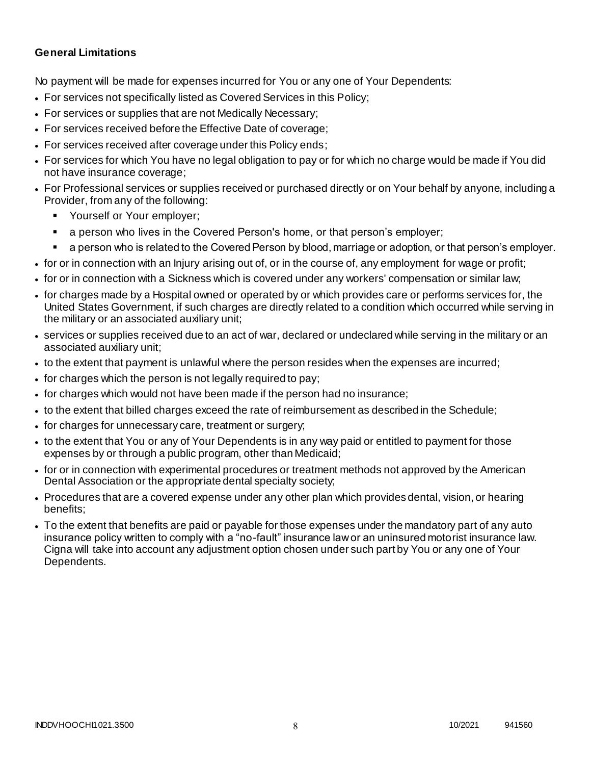### **General Limitations**

No payment will be made for expenses incurred for You or any one of Your Dependents:

- For services not specifically listed as Covered Services in this Policy;
- For services or supplies that are not Medically Necessary;
- For services received before the Effective Date of coverage;
- For services received after coverage under this Policy ends;
- For services for which You have no legal obligation to pay or for which no charge would be made if You did not have insurance coverage;
- For Professional services or supplies received or purchased directly or on Your behalf by anyone, including a Provider, from any of the following:
	- Yourself or Your employer;
	- a person who lives in the Covered Person's home, or that person's employer;
	- a person who is related to the Covered Person by blood, marriage or adoption, or that person's employer.
- for or in connection with an Injury arising out of, or in the course of, any employment for wage or profit;
- for or in connection with a Sickness which is covered under any workers' compensation or similar law;
- for charges made by a Hospital owned or operated by or which provides care or performs services for, the United States Government, if such charges are directly related to a condition which occurred while serving in the military or an associated auxiliary unit;
- services or supplies received due to an act of war, declared or undeclared while serving in the military or an associated auxiliary unit;
- to the extent that payment is unlawful where the person resides when the expenses are incurred;
- for charges which the person is not legally required to pay;
- for charges which would not have been made if the person had no insurance;
- to the extent that billed charges exceed the rate of reimbursement as described in the Schedule;
- for charges for unnecessary care, treatment or surgery;
- to the extent that You or any of Your Dependents is in any way paid or entitled to payment for those expenses by or through a public program, other than Medicaid;
- for or in connection with experimental procedures or treatment methods not approved by the American Dental Association or the appropriate dental specialty society;
- Procedures that are a covered expense under any other plan which provides dental, vision, or hearing benefits;
- To the extent that benefits are paid or payable for those expenses under the mandatory part of any auto insurance policy written to comply with a "no-fault" insurance law or an uninsured motorist insurance law. Cigna will take into account any adjustment option chosen under such part by You or any one of Your Dependents.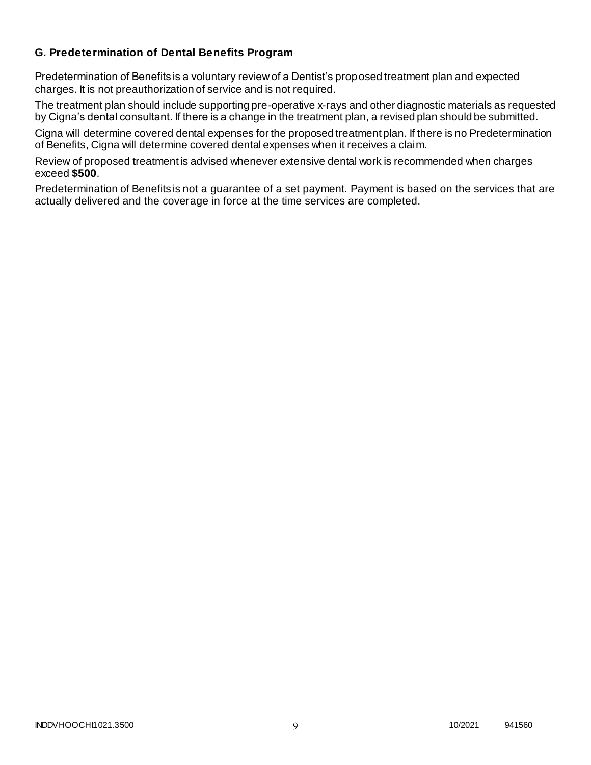### **G. Predetermination of Dental Benefits Program**

Predetermination of Benefits is a voluntary review of a Dentist's proposed treatment plan and expected charges. It is not preauthorization of service and is not required.

The treatment plan should include supporting pre-operative x-rays and other diagnostic materials as requested by Cigna's dental consultant. If there is a change in the treatment plan, a revised plan should be submitted.

Cigna will determine covered dental expenses for the proposed treatment plan. If there is no Predetermination of Benefits, Cigna will determine covered dental expenses when it receives a claim.

Review of proposed treatment is advised whenever extensive dental work is recommended when charges exceed **\$500**.

Predetermination of Benefits is not a guarantee of a set payment. Payment is based on the services that are actually delivered and the coverage in force at the time services are completed.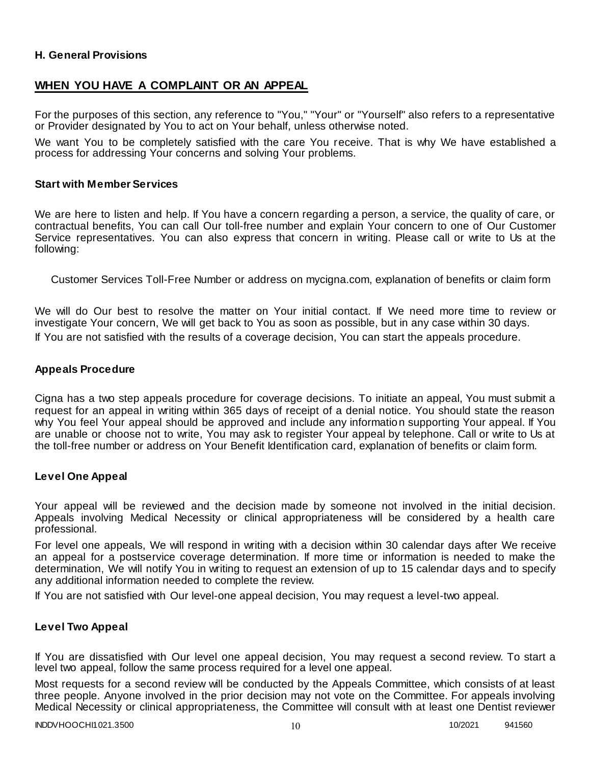### **H. General Provisions**

## **WHEN YOU HAVE A COMPLAINT OR AN APPEAL**

For the purposes of this section, any reference to "You," "Your" or "Yourself" also refers to a representative or Provider designated by You to act on Your behalf, unless otherwise noted.

We want You to be completely satisfied with the care You receive. That is why We have established a process for addressing Your concerns and solving Your problems.

#### **Start with Member Services**

We are here to listen and help. If You have a concern regarding a person, a service, the quality of care, or contractual benefits, You can call Our toll-free number and explain Your concern to one of Our Customer Service representatives. You can also express that concern in writing. Please call or write to Us at the following:

Customer Services Toll-Free Number or address on mycigna.com, explanation of benefits or claim form

We will do Our best to resolve the matter on Your initial contact. If We need more time to review or investigate Your concern, We will get back to You as soon as possible, but in any case within 30 days. If You are not satisfied with the results of a coverage decision, You can start the appeals procedure.

#### **Appeals Procedure**

Cigna has a two step appeals procedure for coverage decisions. To initiate an appeal, You must submit a request for an appeal in writing within 365 days of receipt of a denial notice. You should state the reason why You feel Your appeal should be approved and include any information supporting Your appeal. If You are unable or choose not to write, You may ask to register Your appeal by telephone. Call or write to Us at the toll-free number or address on Your Benefit Identification card, explanation of benefits or claim form.

#### **Level One Appeal**

Your appeal will be reviewed and the decision made by someone not involved in the initial decision. Appeals involving Medical Necessity or clinical appropriateness will be considered by a health care professional.

For level one appeals, We will respond in writing with a decision within 30 calendar days after We receive an appeal for a postservice coverage determination. If more time or information is needed to make the determination, We will notify You in writing to request an extension of up to 15 calendar days and to specify any additional information needed to complete the review.

If You are not satisfied with Our level-one appeal decision, You may request a level-two appeal.

### **Level Two Appeal**

If You are dissatisfied with Our level one appeal decision, You may request a second review. To start a level two appeal, follow the same process required for a level one appeal.

Most requests for a second review will be conducted by the Appeals Committee, which consists of at least three people. Anyone involved in the prior decision may not vote on the Committee. For appeals involving Medical Necessity or clinical appropriateness, the Committee will consult with at least one Dentist reviewer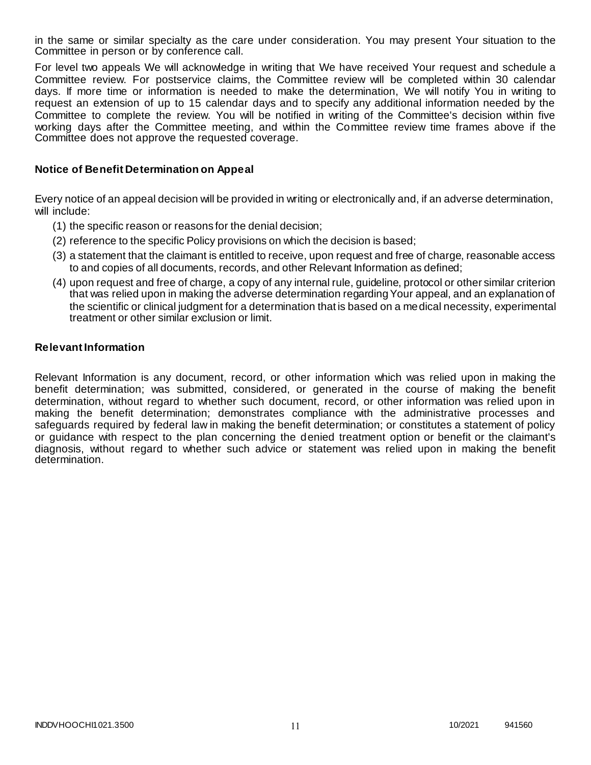in the same or similar specialty as the care under consideration. You may present Your situation to the Committee in person or by conference call.

For level two appeals We will acknowledge in writing that We have received Your request and schedule a Committee review. For postservice claims, the Committee review will be completed within 30 calendar days. If more time or information is needed to make the determination, We will notify You in writing to request an extension of up to 15 calendar days and to specify any additional information needed by the Committee to complete the review. You will be notified in writing of the Committee's decision within five working days after the Committee meeting, and within the Committee review time frames above if the Committee does not approve the requested coverage.

### **Notice of Benefit Determination on Appeal**

Every notice of an appeal decision will be provided in writing or electronically and, if an adverse determination, will include:

- (1) the specific reason or reasons for the denial decision;
- (2) reference to the specific Policy provisions on which the decision is based;
- (3) a statement that the claimant is entitled to receive, upon request and free of charge, reasonable access to and copies of all documents, records, and other Relevant Information as defined;
- (4) upon request and free of charge, a copy of any internal rule, guideline, protocol or other similar criterion that was relied upon in making the adverse determination regarding Your appeal, and an explanation of the scientific or clinical judgment for a determination that is based on a medical necessity, experimental treatment or other similar exclusion or limit.

#### **Relevant Information**

Relevant Information is any document, record, or other information which was relied upon in making the benefit determination; was submitted, considered, or generated in the course of making the benefit determination, without regard to whether such document, record, or other information was relied upon in making the benefit determination; demonstrates compliance with the administrative processes and safeguards required by federal law in making the benefit determination; or constitutes a statement of policy or guidance with respect to the plan concerning the denied treatment option or benefit or the claimant's diagnosis, without regard to whether such advice or statement was relied upon in making the benefit determination.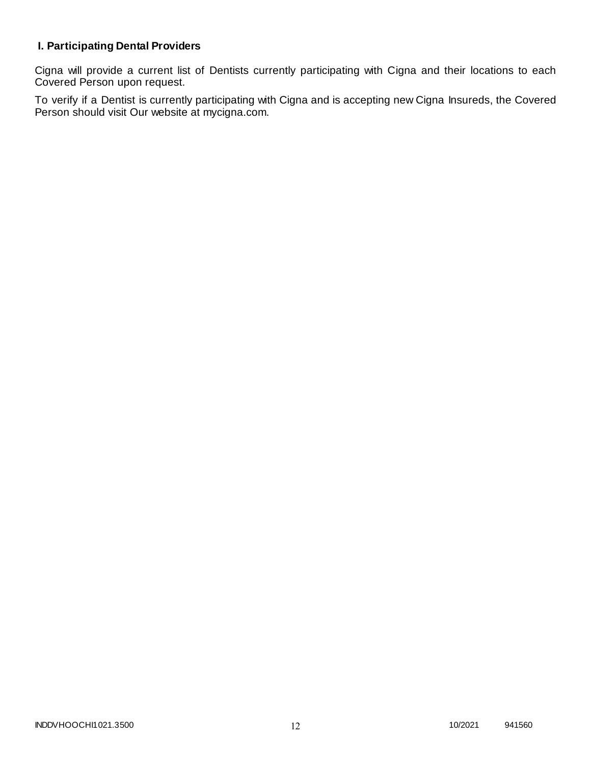# **I. Participating Dental Providers**

Cigna will provide a current list of Dentists currently participating with Cigna and their locations to each Covered Person upon request.

To verify if a Dentist is currently participating with Cigna and is accepting new Cigna Insureds, the Covered Person should visit Our website at mycigna.com.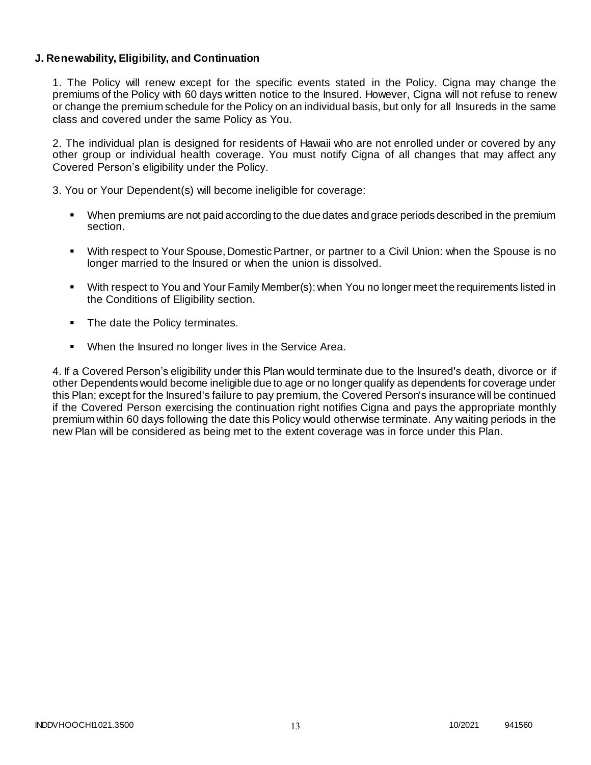### **J. Renewability, Eligibility, and Continuation**

1. The Policy will renew except for the specific events stated in the Policy. Cigna may change the premiums of the Policy with 60 days written notice to the Insured. However, Cigna will not refuse to renew or change the premium schedule for the Policy on an individual basis, but only for all Insureds in the same class and covered under the same Policy as You.

2. The individual plan is designed for residents of Hawaii who are not enrolled under or covered by any other group or individual health coverage. You must notify Cigna of all changes that may affect any Covered Person's eligibility under the Policy.

3. You or Your Dependent(s) will become ineligible for coverage:

- When premiums are not paid according to the due dates and grace periods described in the premium section.
- With respect to Your Spouse, Domestic Partner, or partner to a Civil Union: when the Spouse is no longer married to the Insured or when the union is dissolved.
- With respect to You and Your Family Member(s): when You no longer meet the requirements listed in the Conditions of Eligibility section.
- The date the Policy terminates.
- When the Insured no longer lives in the Service Area.

4. If a Covered Person's eligibility under this Plan would terminate due to the Insured's death, divorce or if other Dependents would become ineligible due to age or no longer qualify as dependents for coverage under this Plan; except for the Insured's failure to pay premium, the Covered Person's insurance will be continued if the Covered Person exercising the continuation right notifies Cigna and pays the appropriate monthly premium within 60 days following the date this Policy would otherwise terminate. Any waiting periods in the new Plan will be considered as being met to the extent coverage was in force under this Plan.